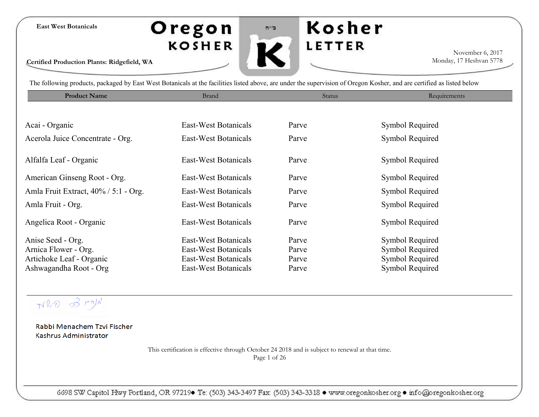

**Kosher** 

LETTER

November 6, 2017 Monday, 17 Heshvan 5778

**Certified Production Plants: Ridgefield, WA**

The following products, packaged by East West Botanicals at the facilities listed above, are under the supervision of Oregon Kosher, and are certified as listed below

| <b>Product Name</b>                  | <b>Brand</b>         | <b>Status</b> | Requirements           |
|--------------------------------------|----------------------|---------------|------------------------|
|                                      |                      |               |                        |
| Acai - Organic                       | East-West Botanicals | Parve         | <b>Symbol Required</b> |
| Acerola Juice Concentrate - Org.     | East-West Botanicals | Parve         | <b>Symbol Required</b> |
| Alfalfa Leaf - Organic               | East-West Botanicals | Parve         | <b>Symbol Required</b> |
| American Ginseng Root - Org.         | East-West Botanicals | Parve         | <b>Symbol Required</b> |
| Amla Fruit Extract, 40% / 5:1 - Org. | East-West Botanicals | Parve         | <b>Symbol Required</b> |
| Amla Fruit - Org.                    | East-West Botanicals | Parve         | <b>Symbol Required</b> |
| Angelica Root - Organic              | East-West Botanicals | Parve         | <b>Symbol Required</b> |
| Anise Seed - Org.                    | East-West Botanicals | Parve         | <b>Symbol Required</b> |
| Arnica Flower - Org.                 | East-West Botanicals | Parve         | <b>Symbol Required</b> |
| Artichoke Leaf - Organic             | East-West Botanicals | Parve         | <b>Symbol Required</b> |
| Ashwagandha Root - Org               | East-West Botanicals | Parve         | <b>Symbol Required</b> |

MRO 3 PM

Rabbi Menachem Tzvi Fischer **Kashrus Administrator** 

> This certification is effective through October 24 2018 and is subject to renewal at that time. Page 1 of 26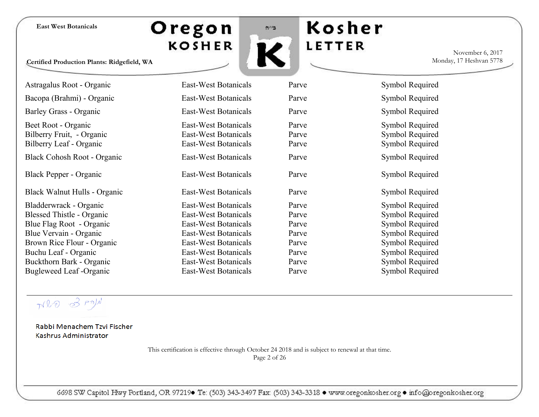Oregon **KOSHER** 



**Kosher** LETTER

November 6, 2017 Monday, 17 Heshvan 5778

**Certified Production Plants: Ridgefield, WA**

| Astragalus Root - Organic                                                   | East-West Botanicals                                                 | Parve                   | Symbol Required                                       |
|-----------------------------------------------------------------------------|----------------------------------------------------------------------|-------------------------|-------------------------------------------------------|
| Bacopa (Brahmi) - Organic                                                   | East-West Botanicals                                                 | Parve                   | Symbol Required                                       |
| Barley Grass - Organic                                                      | East-West Botanicals                                                 | Parve                   | Symbol Required                                       |
| Beet Root - Organic<br>Bilberry Fruit, - Organic<br>Bilberry Leaf - Organic | East-West Botanicals<br>East-West Botanicals<br>East-West Botanicals | Parve<br>Parve<br>Parve | Symbol Required<br>Symbol Required<br>Symbol Required |
| Black Cohosh Root - Organic                                                 | East-West Botanicals                                                 | Parve                   | Symbol Required                                       |
| Black Pepper - Organic                                                      | East-West Botanicals                                                 | Parve                   | Symbol Required                                       |
| Black Walnut Hulls - Organic                                                | East-West Botanicals                                                 | Parve                   | Symbol Required                                       |
| Bladderwrack - Organic                                                      | East-West Botanicals                                                 | Parve                   | Symbol Required                                       |
| <b>Blessed Thistle - Organic</b>                                            | East-West Botanicals                                                 | Parve                   | Symbol Required                                       |
| Blue Flag Root - Organic                                                    | East-West Botanicals                                                 | Parve                   | Symbol Required                                       |
| Blue Vervain - Organic                                                      | East-West Botanicals                                                 | Parve                   | Symbol Required                                       |
| Brown Rice Flour - Organic                                                  | East-West Botanicals                                                 | Parve                   | Symbol Required                                       |
| Buchu Leaf - Organic                                                        | East-West Botanicals                                                 | Parve                   | Symbol Required                                       |
| Buckthorn Bark - Organic                                                    | East-West Botanicals                                                 | Parve                   | Symbol Required                                       |
| Bugleweed Leaf -Organic                                                     | East-West Botanicals                                                 | Parve                   | Symbol Required                                       |

MRO 3 PM

Rabbi Menachem Tzvi Fischer Kashrus Administrator

> This certification is effective through October 24 2018 and is subject to renewal at that time. Page 2 of 26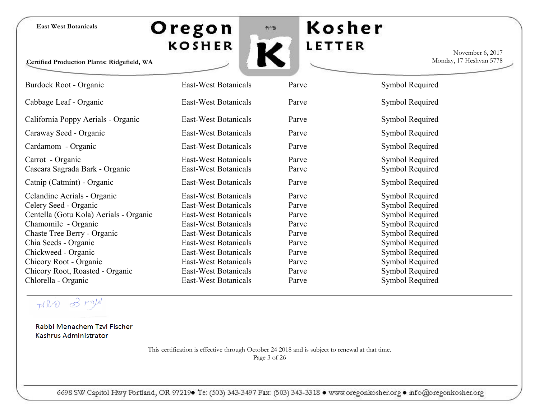### Oregon **KOSHER**



**Kosher** LETTER

November 6, 2017 Monday, 17 Heshvan 5778

**Certified Production Plants: Ridgefield, WA**

| Burdock Root - Organic                                                                                                | East-West Botanicals                                                                         | Parve                            | Symbol Required                                                          |
|-----------------------------------------------------------------------------------------------------------------------|----------------------------------------------------------------------------------------------|----------------------------------|--------------------------------------------------------------------------|
| Cabbage Leaf - Organic                                                                                                | East-West Botanicals                                                                         | Parve                            | Symbol Required                                                          |
| California Poppy Aerials - Organic                                                                                    | <b>East-West Botanicals</b>                                                                  | Parve                            | Symbol Required                                                          |
| Caraway Seed - Organic                                                                                                | East-West Botanicals                                                                         | Parve                            | Symbol Required                                                          |
| Cardamom - Organic                                                                                                    | East-West Botanicals                                                                         | Parve                            | Symbol Required                                                          |
| Carrot - Organic<br>Cascara Sagrada Bark - Organic                                                                    | East-West Botanicals<br>East-West Botanicals                                                 | Parve<br>Parve                   | Symbol Required<br>Symbol Required                                       |
| Catnip (Catmint) - Organic                                                                                            | East-West Botanicals                                                                         | Parve                            | Symbol Required                                                          |
| Celandine Aerials - Organic<br>Celery Seed - Organic<br>Centella (Gotu Kola) Aerials - Organic<br>Chamomile - Organic | East-West Botanicals<br>East-West Botanicals<br>East-West Botanicals<br>East-West Botanicals | Parve<br>Parve<br>Parve<br>Parve | Symbol Required<br>Symbol Required<br>Symbol Required<br>Symbol Required |
| Chaste Tree Berry - Organic                                                                                           | East-West Botanicals                                                                         | Parve                            | Symbol Required                                                          |
| Chia Seeds - Organic<br>Chickweed - Organic                                                                           | East-West Botanicals<br>East-West Botanicals                                                 | Parve<br>Parve<br>Parve          | Symbol Required<br>Symbol Required                                       |
| Chicory Root - Organic<br>Chicory Root, Roasted - Organic<br>Chlorella - Organic                                      | East-West Botanicals<br>East-West Botanicals<br>East-West Botanicals                         | Parve<br>Parve                   | Symbol Required<br>Symbol Required<br>Symbol Required                    |
|                                                                                                                       |                                                                                              |                                  |                                                                          |

MRO 3 PM

Rabbi Menachem Tzvi Fischer Kashrus Administrator

> This certification is effective through October 24 2018 and is subject to renewal at that time. Page 3 of 26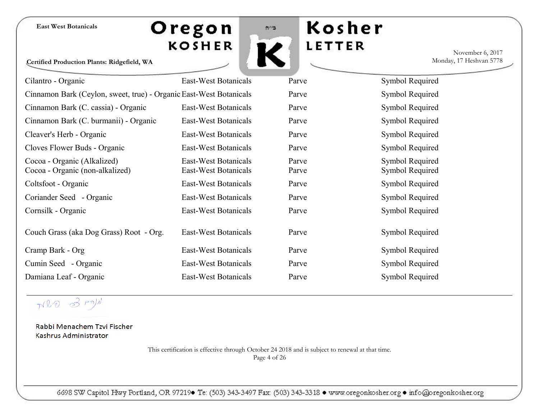**Certified Production Plants: Ridgefield, WA**

### Oregon **KOSHER**



### **Kosher** LETTER

November 6, 2017 Monday, 17 Heshvan 5778

| Cilantro - Organic                                                 | East-West Botanicals                         | Parve          | Symbol Required                    |
|--------------------------------------------------------------------|----------------------------------------------|----------------|------------------------------------|
| Cinnamon Bark (Ceylon, sweet, true) - Organic East-West Botanicals |                                              | Parve          | Symbol Required                    |
| Cinnamon Bark (C. cassia) - Organic                                | East-West Botanicals                         | Parve          | Symbol Required                    |
| Cinnamon Bark (C. burmanii) - Organic                              | East-West Botanicals                         | Parve          | Symbol Required                    |
| Cleaver's Herb - Organic                                           | East-West Botanicals                         | Parve          | Symbol Required                    |
| Cloves Flower Buds - Organic                                       | East-West Botanicals                         | Parve          | Symbol Required                    |
| Cocoa - Organic (Alkalized)<br>Cocoa - Organic (non-alkalized)     | East-West Botanicals<br>East-West Botanicals | Parve<br>Parve | Symbol Required<br>Symbol Required |
| Coltsfoot - Organic                                                | East-West Botanicals                         | Parve          | Symbol Required                    |
| Coriander Seed - Organic                                           | East-West Botanicals                         | Parve          | Symbol Required                    |
| Cornsilk - Organic                                                 | East-West Botanicals                         | Parve          | Symbol Required                    |
| Couch Grass (aka Dog Grass) Root - Org.                            | East-West Botanicals                         | Parve          | Symbol Required                    |
| Cramp Bark - Org                                                   | East-West Botanicals                         | Parve          | Symbol Required                    |
| Cumin Seed - Organic                                               | East-West Botanicals                         | Parve          | Symbol Required                    |
| Damiana Leaf - Organic                                             | East-West Botanicals                         | Parve          | Symbol Required                    |

MRO 3 PM

Rabbi Menachem Tzvi Fischer Kashrus Administrator

> This certification is effective through October 24 2018 and is subject to renewal at that time. Page 4 of 26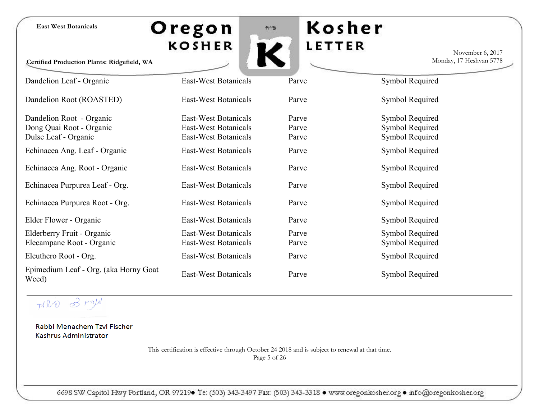| <b>East West Botanicals</b> |  |  |  |  |
|-----------------------------|--|--|--|--|
|-----------------------------|--|--|--|--|

**Certified Production Plants: Ridgefield, WA**





November 6, 2017 Monday, 17 Heshvan 5778

| Dandelion Leaf - Organic                                                                                      | East-West Botanicals                                                                         | Parve                            | Symbol Required                                                                 |
|---------------------------------------------------------------------------------------------------------------|----------------------------------------------------------------------------------------------|----------------------------------|---------------------------------------------------------------------------------|
| Dandelion Root (ROASTED)                                                                                      | East-West Botanicals                                                                         | Parve                            | Symbol Required                                                                 |
| Dandelion Root - Organic<br>Dong Quai Root - Organic<br>Dulse Leaf - Organic<br>Echinacea Ang. Leaf - Organic | East-West Botanicals<br>East-West Botanicals<br>East-West Botanicals<br>East-West Botanicals | Parve<br>Parve<br>Parve<br>Parve | Symbol Required<br>Symbol Required<br><b>Symbol Required</b><br>Symbol Required |
| Echinacea Ang. Root - Organic                                                                                 | East-West Botanicals                                                                         | Parve                            | Symbol Required                                                                 |
| Echinacea Purpurea Leaf - Org.                                                                                | East-West Botanicals                                                                         | Parve                            | Symbol Required                                                                 |
| Echinacea Purpurea Root - Org.                                                                                | East-West Botanicals                                                                         | Parve                            | Symbol Required                                                                 |
| Elder Flower - Organic                                                                                        | East-West Botanicals                                                                         | Parve                            | Symbol Required                                                                 |
| Elderberry Fruit - Organic<br>Elecampane Root - Organic                                                       | East-West Botanicals<br>East-West Botanicals                                                 | Parve<br>Parve                   | Symbol Required<br>Symbol Required                                              |
| Eleuthero Root - Org.                                                                                         | East-West Botanicals                                                                         | Parve                            | Symbol Required                                                                 |
| Epimedium Leaf - Org. (aka Horny Goat<br>Weed)                                                                | East-West Botanicals                                                                         | Parve                            | Symbol Required                                                                 |

Nho 3 PM

Rabbi Menachem Tzvi Fischer Kashrus Administrator

> This certification is effective through October 24 2018 and is subject to renewal at that time. Page 5 of 26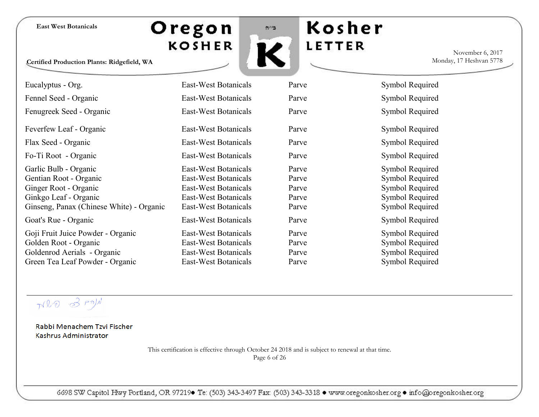Oregon **KOSHER** 



**Kosher** LETTER

November 6, 2017 Monday, 17 Heshvan 5778

**Certified Production Plants: Ridgefield, WA**

| Eucalyptus - Org.                        | East-West Botanicals | Parve | Symbol Required |
|------------------------------------------|----------------------|-------|-----------------|
| Fennel Seed - Organic                    | East-West Botanicals | Parve | Symbol Required |
| Fenugreek Seed - Organic                 | East-West Botanicals | Parve | Symbol Required |
| Feverfew Leaf - Organic                  | East-West Botanicals | Parve | Symbol Required |
| Flax Seed - Organic                      | East-West Botanicals | Parve | Symbol Required |
| Fo-Ti Root - Organic                     | East-West Botanicals | Parve | Symbol Required |
| Garlic Bulb - Organic                    | East-West Botanicals | Parve | Symbol Required |
| Gentian Root - Organic                   | East-West Botanicals | Parve | Symbol Required |
| Ginger Root - Organic                    | East-West Botanicals | Parve | Symbol Required |
| Ginkgo Leaf - Organic                    | East-West Botanicals | Parve | Symbol Required |
| Ginseng, Panax (Chinese White) - Organic | East-West Botanicals | Parve | Symbol Required |
| Goat's Rue - Organic                     | East-West Botanicals | Parve | Symbol Required |
| Goji Fruit Juice Powder - Organic        | East-West Botanicals | Parve | Symbol Required |
| Golden Root - Organic                    | East-West Botanicals | Parve | Symbol Required |
| Goldenrod Aerials - Organic              | East-West Botanicals | Parve | Symbol Required |
| Green Tea Leaf Powder - Organic          | East-West Botanicals | Parve | Symbol Required |

Nho 3 PM

Rabbi Menachem Tzvi Fischer Kashrus Administrator

> This certification is effective through October 24 2018 and is subject to renewal at that time. Page 6 of 26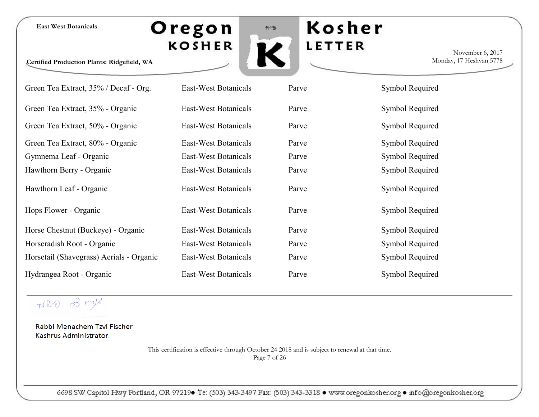**Certified Production Plants: Ridgefield, WA**

# Oregon **KOSHER**



**Kosher** LETTER

November 6, 2017 Monday, 17 Heshvan 5778

| Green Tea Extract, 35% / Decaf - Org.    | East-West Botanicals | Parve | Symbol Required |
|------------------------------------------|----------------------|-------|-----------------|
| Green Tea Extract, 35% - Organic         | East-West Botanicals | Parve | Symbol Required |
| Green Tea Extract, 50% - Organic         | East-West Botanicals | Parve | Symbol Required |
| Green Tea Extract, 80% - Organic         | East-West Botanicals | Parve | Symbol Required |
| Gymnema Leaf - Organic                   | East-West Botanicals | Parve | Symbol Required |
| Hawthorn Berry - Organic                 | East-West Botanicals | Parve | Symbol Required |
| Hawthorn Leaf - Organic                  | East-West Botanicals | Parve | Symbol Required |
| Hops Flower - Organic                    | East-West Botanicals | Parve | Symbol Required |
| Horse Chestnut (Buckeye) - Organic       | East-West Botanicals | Parve | Symbol Required |
| Horseradish Root - Organic               | East-West Botanicals | Parve | Symbol Required |
| Horsetail (Shavegrass) Aerials - Organic | East-West Botanicals | Parve | Symbol Required |
| Hydrangea Root - Organic                 | East-West Botanicals | Parve | Symbol Required |

MRO 3 PM

Rabbi Menachem Tzvi Fischer Kashrus Administrator

> This certification is effective through October 24 2018 and is subject to renewal at that time. Page 7 of 26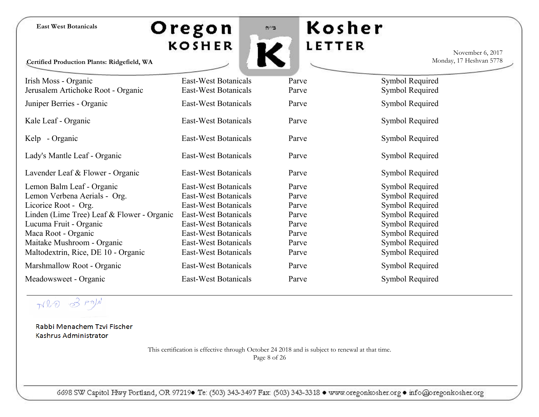**Certified Production Plants: Ridgefield, WA**





**Kosher** LETTER

November 6, 2017 Monday, 17 Heshvan 5778

| Irish Moss - Organic                       | East-West Botanicals        | Parve | Symbol Required |
|--------------------------------------------|-----------------------------|-------|-----------------|
| Jerusalem Artichoke Root - Organic         | <b>East-West Botanicals</b> | Parve | Symbol Required |
| Juniper Berries - Organic                  | <b>East-West Botanicals</b> | Parve | Symbol Required |
| Kale Leaf - Organic                        | East-West Botanicals        | Parve | Symbol Required |
| Kelp - Organic                             | East-West Botanicals        | Parve | Symbol Required |
| Lady's Mantle Leaf - Organic               | East-West Botanicals        | Parve | Symbol Required |
| Lavender Leaf & Flower - Organic           | East-West Botanicals        | Parve | Symbol Required |
| Lemon Balm Leaf - Organic                  | East-West Botanicals        | Parve | Symbol Required |
| Lemon Verbena Aerials - Org.               | East-West Botanicals        | Parve | Symbol Required |
| Licorice Root - Org.                       | East-West Botanicals        | Parve | Symbol Required |
| Linden (Lime Tree) Leaf & Flower - Organic | East-West Botanicals        | Parve | Symbol Required |
| Lucuma Fruit - Organic                     | <b>East-West Botanicals</b> | Parve | Symbol Required |
| Maca Root - Organic                        | East-West Botanicals        | Parve | Symbol Required |
| Maitake Mushroom - Organic                 | East-West Botanicals        | Parve | Symbol Required |
| Maltodextrin, Rice, DE 10 - Organic        | East-West Botanicals        | Parve | Symbol Required |
| Marshmallow Root - Organic                 | East-West Botanicals        | Parve | Symbol Required |
| Meadowsweet - Organic                      | East-West Botanicals        | Parve | Symbol Required |

Nho 3 PM

Rabbi Menachem Tzvi Fischer Kashrus Administrator

> This certification is effective through October 24 2018 and is subject to renewal at that time. Page 8 of 26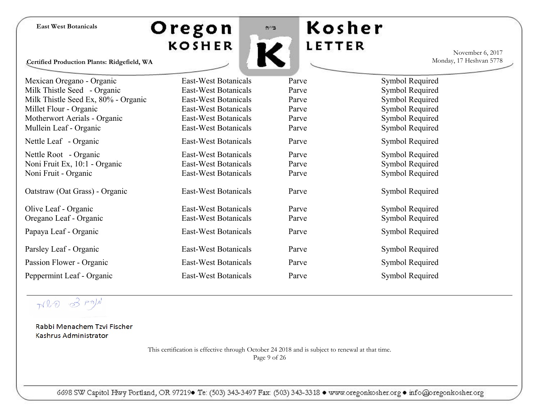**Certified Production Plants: Ridgefield, WA**

Oregon **KOSHER** 



Kosher LETTER

November 6, 2017 Monday, 17 Heshvan 5778

Mexican Oregano - Organic East-West Botanicals Parve Symbol Required Milk Thistle Seed - Organic East-West Botanicals Parve Symbol Required Milk Thistle Seed Ex, 80% - Organic East-West Botanicals Parve Parve Symbol Required Millet Flour - Organic **East-West Botanicals** Parve Parve Symbol Required Motherwort Aerials - Organic **East-West Botanicals** Parve Parve Symbol Required Mullein Leaf - Organic East-West Botanicals Parve Symbol Required Nettle Leaf - Organic **East-West Botanicals** Parve Symbol Required Nettle Root - Organic **East-West Botanicals** Parve Parve Symbol Required Noni Fruit Ex, 10:1 - Organic East-West Botanicals Parve Parve Symbol Required Noni Fruit - Organic **East-West Botanicals** Parve Parve Symbol Required Oatstraw (Oat Grass) - Organic East-West Botanicals Parve Symbol Required Olive Leaf - Organic **East-West Botanicals** Parve Parve Symbol Required Oregano Leaf - Organic **East-West Botanicals** Parve Symbol Required Papaya Leaf - Organic **East-West Botanicals** Parve Symbol Required Parsley Leaf - Organic **East-West Botanicals** Parve Symbol Required Passion Flower - Organic East-West Botanicals Parve Symbol Required Peppermint Leaf - Organic East-West Botanicals Parve Symbol Required

Rabbi Menachem Tzvi Fischer Kashrus Administrator

> This certification is effective through October 24 2018 and is subject to renewal at that time. Page 9 of 26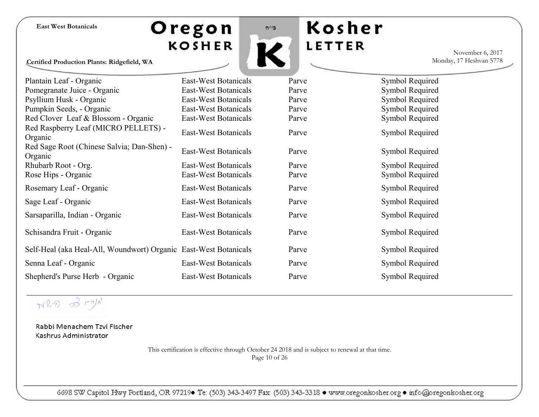Oregon **KOSHER** 

Kosher  $7''2$ K LETTER

**Certified Production Plants: Ridgefield, WA**

| Plantain Leaf - Organic                                          | East-West Botanicals | Parve | Symbol Required |
|------------------------------------------------------------------|----------------------|-------|-----------------|
| Pomegranate Juice - Organic                                      | East-West Botanicals | Parve | Symbol Required |
| Psyllium Husk - Organic                                          | East-West Botanicals | Parve | Symbol Required |
| Pumpkin Seeds, - Organic                                         | East-West Botanicals | Parve | Symbol Required |
| Red Clover Leaf & Blossom - Organic                              | East-West Botanicals | Parve | Symbol Required |
| Red Raspberry Leaf (MICRO PELLETS) -<br>Organic                  | East-West Botanicals | Parve | Symbol Required |
| Red Sage Root (Chinese Salvia; Dan-Shen) -<br>Organic            | East-West Botanicals | Parve | Symbol Required |
| Rhubarb Root - Org.                                              | East-West Botanicals | Parve | Symbol Required |
| Rose Hips - Organic                                              | East-West Botanicals | Parve | Symbol Required |
| Rosemary Leaf - Organic                                          | East-West Botanicals | Parve | Symbol Required |
| Sage Leaf - Organic                                              | East-West Botanicals | Parve | Symbol Required |
| Sarsaparilla, Indian - Organic                                   | East-West Botanicals | Parve | Symbol Required |
| Schisandra Fruit - Organic                                       | East-West Botanicals | Parve | Symbol Required |
| Self-Heal (aka Heal-All, Woundwort) Organic East-West Botanicals |                      | Parve | Symbol Required |
| Senna Leaf - Organic                                             | East-West Botanicals | Parve | Symbol Required |
| Shepherd's Purse Herb - Organic                                  | East-West Botanicals | Parve | Symbol Required |

| Symbol Requi |  |
|--------------|--|
| Symbol Requi |  |
| Symbol Requi |  |
| Symbol Requi |  |
| Symbol Requi |  |
| Symbol Requi |  |
| Symbol Requi |  |
| Symbol Requi |  |
| Symbol Requi |  |
| Symbol Requi |  |
| Symbol Requi |  |
| Symbol Requi |  |
| Symbol Requi |  |
| Symbol Requi |  |
| Symbol Requi |  |
| Symbol Requi |  |
|              |  |

November 6, 2017 Monday, 17 Heshvan 5778

NLO 3 PM

Rabbi Menachem Tzvi Fischer Kashrus Administrator

> This certification is effective through October 24 2018 and is subject to renewal at that time. Page 10 of 26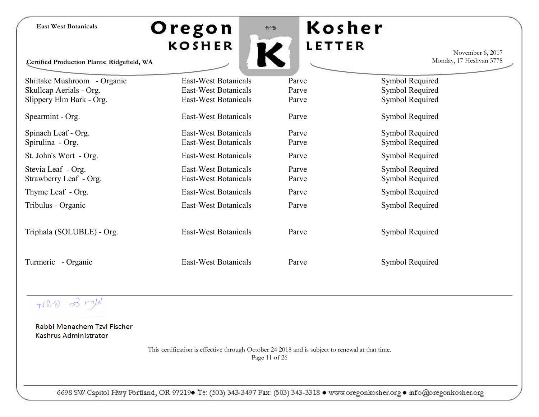Oregon K **KOSHER** 

 $72.4$ 

Kosher LETTER

November 6, 2017 Monday, 17 Heshvan 5778

**Certified Production Plants: Ridgefield, WA**

| Shiitake Mushroom - Organic | East-West Botanicals | Parve | Symbol Required |
|-----------------------------|----------------------|-------|-----------------|
| Skullcap Aerials - Org.     | East-West Botanicals | Parve | Symbol Required |
| Slippery Elm Bark - Org.    | East-West Botanicals | Parve | Symbol Required |
| Spearmint - Org.            | East-West Botanicals | Parve | Symbol Required |
| Spinach Leaf - Org.         | East-West Botanicals | Parve | Symbol Required |
| Spirulina - Org.            | East-West Botanicals | Parve | Symbol Required |
| St. John's Wort - Org.      | East-West Botanicals | Parve | Symbol Required |
| Stevia Leaf - Org.          | East-West Botanicals | Parve | Symbol Required |
| Strawberry Leaf - Org.      | East-West Botanicals | Parve | Symbol Required |
| Thyme Leaf - Org.           | East-West Botanicals | Parve | Symbol Required |
| Tribulus - Organic          | East-West Botanicals | Parve | Symbol Required |
| Triphala (SOLUBLE) - Org.   | East-West Botanicals | Parve | Symbol Required |
| Turmeric - Organic          | East-West Botanicals | Parve | Symbol Required |

MRO 3 PM

Rabbi Menachem Tzvi Fischer Kashrus Administrator

> This certification is effective through October 24 2018 and is subject to renewal at that time. Page 11 of 26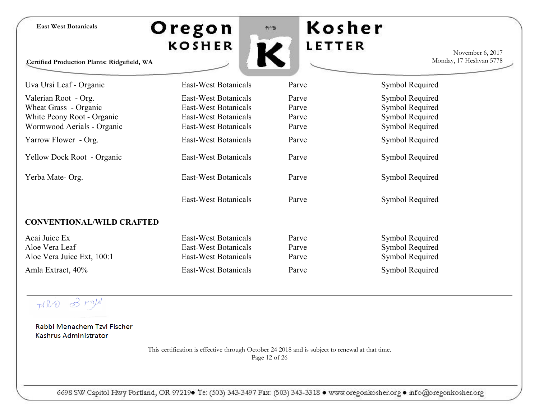# Oregon<br>KOSHER



**Certified Production Plants: Ridgefield, WA**

| <b>Kosher</b> |  |
|---------------|--|
| <b>LETTER</b> |  |

November 6, 2017 Monday, 17 Heshvan 5778

| Uva Ursi Leaf - Organic                                                                                   | East-West Botanicals                                                                         | Parve                            | Symbol Required                                                          |
|-----------------------------------------------------------------------------------------------------------|----------------------------------------------------------------------------------------------|----------------------------------|--------------------------------------------------------------------------|
| Valerian Root - Org.<br>Wheat Grass - Organic<br>White Peony Root - Organic<br>Wormwood Aerials - Organic | East-West Botanicals<br>East-West Botanicals<br>East-West Botanicals<br>East-West Botanicals | Parve<br>Parve<br>Parve<br>Parve | Symbol Required<br>Symbol Required<br>Symbol Required<br>Symbol Required |
| Yarrow Flower - Org.                                                                                      | East-West Botanicals                                                                         | Parve                            | Symbol Required                                                          |
| <b>Yellow Dock Root - Organic</b>                                                                         | East-West Botanicals                                                                         | Parve                            | Symbol Required                                                          |
| Yerba Mate-Org.                                                                                           | East-West Botanicals                                                                         | Parve                            | Symbol Required                                                          |
|                                                                                                           | East-West Botanicals                                                                         | Parve                            | Symbol Required                                                          |
| <b>CONVENTIONAL/WILD CRAFTED</b>                                                                          |                                                                                              |                                  |                                                                          |
| Acai Juice Ex<br>Aloe Vera Leaf<br>Aloe Vera Juice Ext, 100:1                                             | East-West Botanicals<br>East-West Botanicals<br>East-West Botanicals                         | Parve<br>Parve<br>Parve          | Symbol Required<br>Symbol Required<br>Symbol Required                    |
| Amla Extract, 40%                                                                                         | East-West Botanicals                                                                         | Parve                            | Symbol Required                                                          |

Nho 3 PM

Rabbi Menachem Tzvi Fischer Kashrus Administrator

> This certification is effective through October 24 2018 and is subject to renewal at that time. Page 12 of 26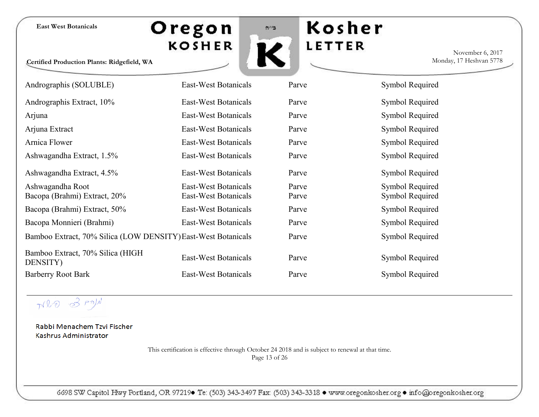# Oregon **KOSHER**



**Certified Production Plants: Ridgefield, WA**

| Parve                                           | Symbol F |
|-------------------------------------------------|----------|
| Parve                                           | Symbol F |
| $\mathbf{p}_{\alpha r \mathbf{v} / \mathbf{e}}$ | SumholF  |

**Kosher** 

LETTER

November 6, 2017 Monday, 17 Heshvan 5778

| Andrographis (SOLUBLE)                                        | East-West Botanicals                         | Parve          | Symbol Required                    |
|---------------------------------------------------------------|----------------------------------------------|----------------|------------------------------------|
| Andrographis Extract, 10%                                     | East-West Botanicals                         | Parve          | Symbol Required                    |
| Arjuna                                                        | East-West Botanicals                         | Parve          | Symbol Required                    |
| Arjuna Extract                                                | East-West Botanicals                         | Parve          | Symbol Required                    |
| Arnica Flower                                                 | East-West Botanicals                         | Parve          | Symbol Required                    |
| Ashwagandha Extract, 1.5%                                     | East-West Botanicals                         | Parve          | Symbol Required                    |
| Ashwagandha Extract, 4.5%                                     | East-West Botanicals                         | Parve          | Symbol Required                    |
| Ashwagandha Root<br>Bacopa (Brahmi) Extract, 20%              | East-West Botanicals<br>East-West Botanicals | Parve<br>Parve | Symbol Required<br>Symbol Required |
| Bacopa (Brahmi) Extract, 50%                                  | East-West Botanicals                         | Parve          | Symbol Required                    |
| Bacopa Monnieri (Brahmi)                                      | East-West Botanicals                         | Parve          | Symbol Required                    |
| Bamboo Extract, 70% Silica (LOW DENSITY) East-West Botanicals |                                              | Parve          | Symbol Required                    |
| Bamboo Extract, 70% Silica (HIGH)<br>DENSITY)                 | East-West Botanicals                         | Parve          | Symbol Required                    |
| <b>Barberry Root Bark</b>                                     | East-West Botanicals                         | Parve          | Symbol Required                    |

Nho 3 PM

Rabbi Menachem Tzvi Fischer Kashrus Administrator

> This certification is effective through October 24 2018 and is subject to renewal at that time. Page 13 of 26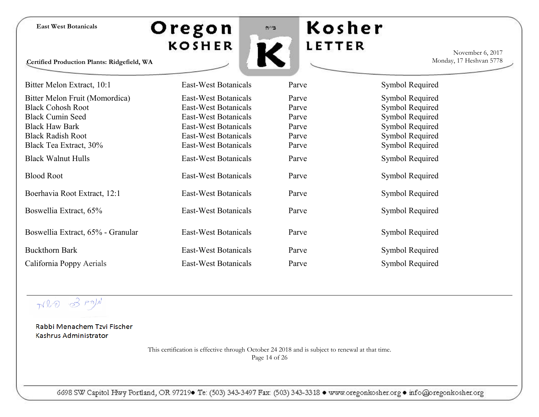**Certified Production Plants: Ridgefield, WA**

Oregon **KOSHER** 



Kosher LETTER

November 6, 2017 Monday, 17 Heshvan 5778

Bitter Melon Extract, 10:1 East-West Botanicals Parve Parve Symbol Required Bitter Melon Fruit (Momordica) East-West Botanicals Parve Symbol Required Black Cohosh Root **East-West Botanicals** Parve Parve Symbol Required Black Cumin Seed East-West Botanicals Parve Symbol Required Black Haw Bark **East-West Botanicals** Parve Parve Symbol Required Black Radish Root **East-West Botanicals** Parve Parve Symbol Required Black Tea Extract, 30% East-West Botanicals Parve Symbol Required Black Walnut Hulls **East-West Botanicals** Parve Symbol Required Blood Root **East-West Botanicals** Parve Parve Symbol Required Boerhavia Root Extract, 12:1 East-West Botanicals Parve Symbol Required Boswellia Extract, 65% East-West Botanicals Parve Symbol Required Boswellia Extract, 65% - Granular East-West Botanicals Parve Parve Symbol Required Buckthorn Bark **East-West Botanicals** Parve Symbol Required California Poppy Aerials East-West Botanicals Parve Symbol Required

Ned 3 PM

Rabbi Menachem Tzvi Fischer Kashrus Administrator

> This certification is effective through October 24 2018 and is subject to renewal at that time. Page 14 of 26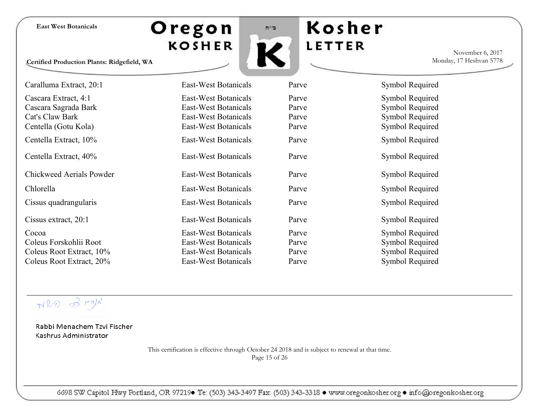Oregon **KOSHER** 



Kosher LETTER

November 6, 2017 Monday, 17 Heshvan 5778

**Certified Production Plants: Ridgefield, WA**

Caralluma Extract, 20:1 East-West Botanicals Parve Symbol Required Cascara Extract, 4:1 East-West Botanicals Parve Symbol Required Cascara Sagrada Bark East-West Botanicals Parve Symbol Required Cat's Claw Bark East-West Botanicals Parve Symbol Required Centella (Gotu Kola) East-West Botanicals Parve Symbol Required Centella Extract, 10% East-West Botanicals Parve Symbol Required Centella Extract, 40% East-West Botanicals Parve Symbol Required Chickweed Aerials Powder East-West Botanicals Parve Parve Symbol Required Chlorella East-West Botanicals Parve Symbol Required Cissus quadrangularis East-West Botanicals Parve Symbol Required Cissus extract, 20:1 East-West Botanicals Parve Symbol Required Cocoa East-West Botanicals Parve Symbol Required Coleus Forskohlii Root East-West Botanicals Parve Symbol Required Coleus Root Extract, 10% East-West Botanicals Parve Symbol Required

Coleus Root Extract, 20% East-West Botanicals Parve Symbol Required

Ned 3 PM

Rabbi Menachem Tzvi Fischer Kashrus Administrator

> This certification is effective through October 24 2018 and is subject to renewal at that time. Page 15 of 26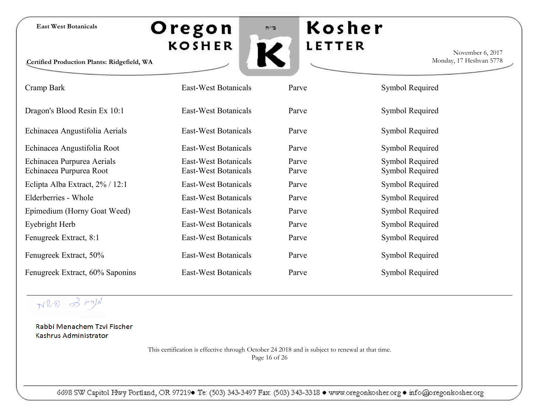



November 6, 2017 Monday, 17 Heshvan 5778

**Certified Production Plants: Ridgefield, WA**

| Cramp Bark                                            | East-West Botanicals                         | Parve          | Symbol Required                    |
|-------------------------------------------------------|----------------------------------------------|----------------|------------------------------------|
| Dragon's Blood Resin Ex 10:1                          | East-West Botanicals                         | Parve          | Symbol Required                    |
| Echinacea Angustifolia Aerials                        | East-West Botanicals                         | Parve          | Symbol Required                    |
| Echinacea Angustifolia Root                           | East-West Botanicals                         | Parve          | Symbol Required                    |
| Echinacea Purpurea Aerials<br>Echinacea Purpurea Root | East-West Botanicals<br>East-West Botanicals | Parve<br>Parve | Symbol Required<br>Symbol Required |
| Eclipta Alba Extract, 2% / 12:1                       | East-West Botanicals                         | Parve          | Symbol Required                    |
| Elderberries - Whole                                  | East-West Botanicals                         | Parve          | Symbol Required                    |
| Epimedium (Horny Goat Weed)                           | East-West Botanicals                         | Parve          | Symbol Required                    |
| Eyebright Herb                                        | East-West Botanicals                         | Parve          | Symbol Required                    |
| Fenugreek Extract, 8:1                                | East-West Botanicals                         | Parve          | Symbol Required                    |
| Fenugreek Extract, 50%                                | East-West Botanicals                         | Parve          | Symbol Required                    |
| Fenugreek Extract, 60% Saponins                       | East-West Botanicals                         | Parve          | Symbol Required                    |

MRO 3 PM

Rabbi Menachem Tzvi Fischer Kashrus Administrator

> This certification is effective through October 24 2018 and is subject to renewal at that time. Page 16 of 26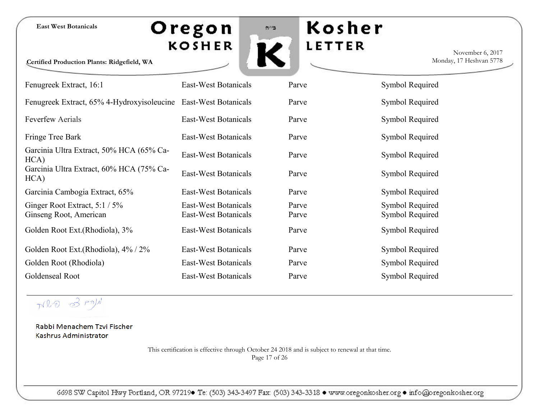### Oregon **KOSHER**



**Kosher** 

LETTER

**Certified Production Plants: Ridgefield, WA**

| November 6, 2017        |  |
|-------------------------|--|
| Monday, 17 Heshvan 5778 |  |

| Fenugreek Extract, 16:1                                         | East-West Botanicals                         | Parve          | Symbol Required                    |
|-----------------------------------------------------------------|----------------------------------------------|----------------|------------------------------------|
| Fenugreek Extract, 65% 4-Hydroxyisoleucine East-West Botanicals |                                              | Parve          | Symbol Required                    |
| <b>Feverfew Aerials</b>                                         | East-West Botanicals                         | Parve          | Symbol Required                    |
| Fringe Tree Bark                                                | East-West Botanicals                         | Parve          | Symbol Required                    |
| Garcinia Ultra Extract, 50% HCA (65% Ca-<br>HCA)                | East-West Botanicals                         | Parve          | Symbol Required                    |
| Garcinia Ultra Extract, 60% HCA (75% Ca-<br>HCA)                | <b>East-West Botanicals</b>                  | Parve          | Symbol Required                    |
| Garcinia Cambogia Extract, 65%                                  | East-West Botanicals                         | Parve          | Symbol Required                    |
| Ginger Root Extract, 5:1 / 5%<br>Ginseng Root, American         | East-West Botanicals<br>East-West Botanicals | Parve<br>Parve | Symbol Required<br>Symbol Required |
| Golden Root Ext. (Rhodiola), 3%                                 | East-West Botanicals                         | Parve          | Symbol Required                    |
| Golden Root Ext.(Rhodiola), 4% / 2%                             | East-West Botanicals                         | Parve          | Symbol Required                    |
| Golden Root (Rhodiola)                                          | East-West Botanicals                         | Parve          | Symbol Required                    |
| Goldenseal Root                                                 | East-West Botanicals                         | Parve          | Symbol Required                    |

MRO 3 PM

Rabbi Menachem Tzvi Fischer Kashrus Administrator

> This certification is effective through October 24 2018 and is subject to renewal at that time. Page 17 of 26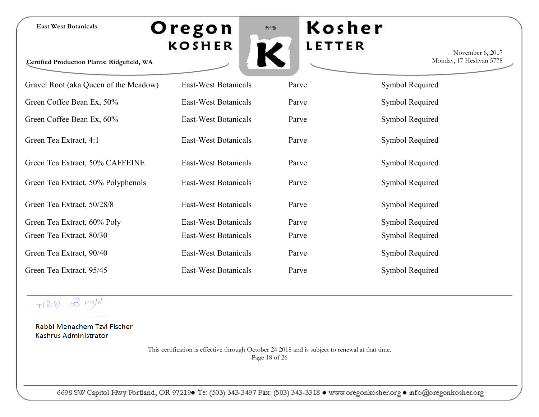# Oregon **KO**

**Certified Production Plants: Ridgefield, WA**

| œ<br>SHER         |  |
|-------------------|--|
|                   |  |
| t-West Botanicals |  |
|                   |  |

 $722$ 

Kosher LETTER

November 6, 2017 Monday, 17 Heshvan 5778

| Gravel Root (aka Queen of the Meadow) | East-West Botanicals | Parve | Symbol Required |
|---------------------------------------|----------------------|-------|-----------------|
| Green Coffee Bean Ex, 50%             | East-West Botanicals | Parve | Symbol Required |
| Green Coffee Bean Ex, 60%             | East-West Botanicals | Parve | Symbol Required |
| Green Tea Extract, 4:1                | East-West Botanicals | Parve | Symbol Required |
| Green Tea Extract, 50% CAFFEINE       | East-West Botanicals | Parve | Symbol Required |
| Green Tea Extract, 50% Polyphenols    | East-West Botanicals | Parve | Symbol Required |
| Green Tea Extract, 50/28/8            | East-West Botanicals | Parve | Symbol Required |
| Green Tea Extract, 60% Poly           | East-West Botanicals | Parve | Symbol Required |
| Green Tea Extract, 80/30              | East-West Botanicals | Parve | Symbol Required |
| Green Tea Extract, 90/40              | East-West Botanicals | Parve | Symbol Required |
| Green Tea Extract, 95/45              | East-West Botanicals | Parve | Symbol Required |

MRO 3 PM

Rabbi Menachem Tzvi Fischer Kashrus Administrator

> This certification is effective through October 24 2018 and is subject to renewal at that time. Page 18 of 26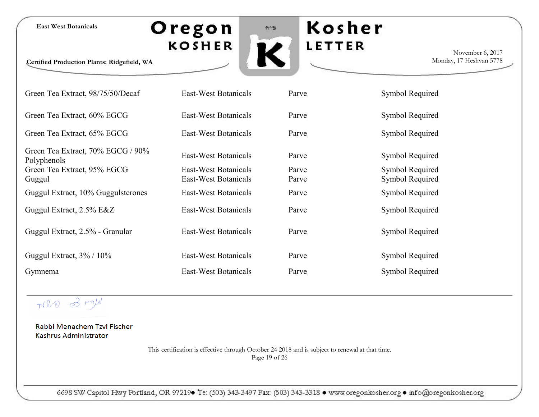# Oregon **KOSHER**

**Certified Production Plants: Ridgefield, WA**

| カリコ | Kosher        |
|-----|---------------|
|     | <b>LETTER</b> |
|     |               |

November 6, 2017 Monday, 17 Heshvan 5778

| Green Tea Extract, 98/75/50/Decaf                | East-West Botanicals | Parve | Symbol Required |
|--------------------------------------------------|----------------------|-------|-----------------|
| Green Tea Extract, 60% EGCG                      | East-West Botanicals | Parve | Symbol Required |
| Green Tea Extract, 65% EGCG                      | East-West Botanicals | Parve | Symbol Required |
| Green Tea Extract, 70% EGCG / 90%<br>Polyphenols | East-West Botanicals | Parve | Symbol Required |
| Green Tea Extract, 95% EGCG                      | East-West Botanicals | Parve | Symbol Required |
| Guggul                                           | East-West Botanicals | Parve | Symbol Required |
| Guggul Extract, 10% Guggulsterones               | East-West Botanicals | Parve | Symbol Required |
| Guggul Extract, 2.5% E&Z                         | East-West Botanicals | Parve | Symbol Required |
| Guggul Extract, 2.5% - Granular                  | East-West Botanicals | Parve | Symbol Required |
| Guggul Extract, 3% / 10%                         | East-West Botanicals | Parve | Symbol Required |
| Gymnema                                          | East-West Botanicals | Parve | Symbol Required |

MRO 3 PM

Rabbi Menachem Tzvi Fischer Kashrus Administrator

> This certification is effective through October 24 2018 and is subject to renewal at that time. Page 19 of 26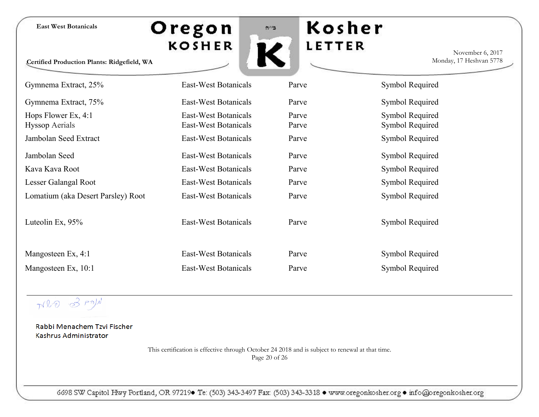**Certified Production Plants: Ridgefield, WA**

# Oregon **KOSHER**



**Kosher** LETTER

November 6, 2017 Monday, 17 Heshvan 5778

| Gymnema Extract, 25%                         | East-West Botanicals                         | Parve          | Symbol Required                    |
|----------------------------------------------|----------------------------------------------|----------------|------------------------------------|
| Gymnema Extract, 75%                         | East-West Botanicals                         | Parve          | Symbol Required                    |
| Hops Flower Ex, 4:1<br><b>Hyssop Aerials</b> | East-West Botanicals<br>East-West Botanicals | Parve<br>Parve | Symbol Required<br>Symbol Required |
| Jambolan Seed Extract                        | East-West Botanicals                         | Parve          | Symbol Required                    |
| Jambolan Seed                                | East-West Botanicals                         | Parve          | Symbol Required                    |
| Kava Kava Root                               | East-West Botanicals                         | Parve          | Symbol Required                    |
| Lesser Galangal Root                         | East-West Botanicals                         | Parve          | Symbol Required                    |
| Lomatium (aka Desert Parsley) Root           | East-West Botanicals                         | Parve          | Symbol Required                    |
| Luteolin Ex, $95%$                           | East-West Botanicals                         | Parve          | Symbol Required                    |
| Mangosteen Ex, 4:1                           | East-West Botanicals                         | Parve          | Symbol Required                    |
| Mangosteen Ex, 10:1                          | East-West Botanicals                         | Parve          | Symbol Required                    |

MRO 3 PM

Rabbi Menachem Tzvi Fischer Kashrus Administrator

> This certification is effective through October 24 2018 and is subject to renewal at that time. Page 20 of 26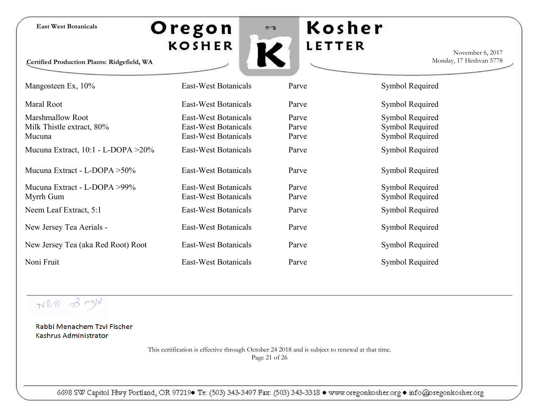## Oregon **KOSHER**



**Kosher** 

LETTER

November 6, 2017 Monday, 17 Heshvan 5778

**Certified Production Plants: Ridgefield, WA**

| Mangosteen Ex, 10%                                             | East-West Botanicals                                                 | Parve                   | Symbol Required                                       |
|----------------------------------------------------------------|----------------------------------------------------------------------|-------------------------|-------------------------------------------------------|
| Maral Root                                                     | East-West Botanicals                                                 | Parve                   | Symbol Required                                       |
| <b>Marshmallow Root</b><br>Milk Thistle extract, 80%<br>Mucuna | East-West Botanicals<br>East-West Botanicals<br>East-West Botanicals | Parve<br>Parve<br>Parve | Symbol Required<br>Symbol Required<br>Symbol Required |
| Mucuna Extract, $10:1$ - L-DOPA $>20\%$                        | East-West Botanicals                                                 | Parve                   | Symbol Required                                       |
| Mucuna Extract - L-DOPA $>50\%$                                | <b>East-West Botanicals</b>                                          | Parve                   | Symbol Required                                       |
| Mucuna Extract - L-DOPA >99%<br>Myrrh Gum                      | East-West Botanicals<br>East-West Botanicals                         | Parve<br>Parve          | Symbol Required<br>Symbol Required                    |
| Neem Leaf Extract, 5:1                                         | East-West Botanicals                                                 | Parve                   | Symbol Required                                       |
| New Jersey Tea Aerials -                                       | East-West Botanicals                                                 | Parve                   | Symbol Required                                       |
| New Jersey Tea (aka Red Root) Root                             | <b>East-West Botanicals</b>                                          | Parve                   | Symbol Required                                       |
| Noni Fruit                                                     | East-West Botanicals                                                 | Parve                   | Symbol Required                                       |

Nho 3 PM

Rabbi Menachem Tzvi Fischer Kashrus Administrator

> This certification is effective through October 24 2018 and is subject to renewal at that time. Page 21 of 26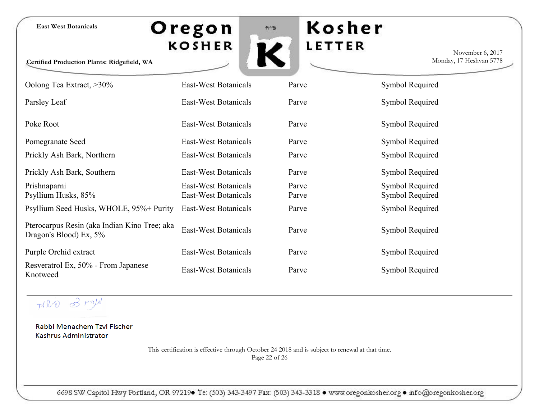# Oregon **KOSHER**



**Kosher** 

LETTER

**Certified Production Plants: Ridgefield, WA**

November 6, 2017 Monday, 17 Heshvan 5778

| Oolong Tea Extract, >30%                                               | <b>East-West Botanicals</b>                  | Parve          | Symbol Required                    |
|------------------------------------------------------------------------|----------------------------------------------|----------------|------------------------------------|
| Parsley Leaf                                                           | East-West Botanicals                         | Parve          | Symbol Required                    |
| Poke Root                                                              | <b>East-West Botanicals</b>                  | Parve          | Symbol Required                    |
| Pomegranate Seed                                                       | East-West Botanicals                         | Parve          | Symbol Required                    |
| Prickly Ash Bark, Northern                                             | East-West Botanicals                         | Parve          | Symbol Required                    |
| Prickly Ash Bark, Southern                                             | East-West Botanicals                         | Parve          | Symbol Required                    |
| Prishnaparni<br>Psyllium Husks, 85%                                    | East-West Botanicals<br>East-West Botanicals | Parve<br>Parve | Symbol Required<br>Symbol Required |
| Psyllium Seed Husks, WHOLE, 95%+ Purity                                | East-West Botanicals                         | Parve          | Symbol Required                    |
| Pterocarpus Resin (aka Indian Kino Tree; aka<br>Dragon's Blood) Ex, 5% | East-West Botanicals                         | Parve          | Symbol Required                    |
| Purple Orchid extract                                                  | <b>East-West Botanicals</b>                  | Parve          | Symbol Required                    |
| Resveratrol Ex, 50% - From Japanese<br>Knotweed                        | East-West Botanicals                         | Parve          | Symbol Required                    |

MRO 3 PM

Rabbi Menachem Tzvi Fischer Kashrus Administrator

> This certification is effective through October 24 2018 and is subject to renewal at that time. Page 22 of 26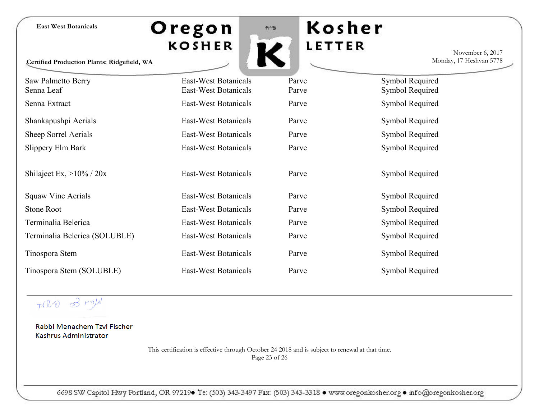**Certified Production Plants: Ridgefield, WA**





**Kosher** LETTER

November 6, 2017 Monday, 17 Heshvan 5778

| Saw Palmetto Berry            | East-West Botanicals | Parve | Symbol Required |
|-------------------------------|----------------------|-------|-----------------|
| Senna Leaf                    | East-West Botanicals | Parve | Symbol Required |
| Senna Extract                 | East-West Botanicals | Parve | Symbol Required |
| Shankapushpi Aerials          | East-West Botanicals | Parve | Symbol Required |
| Sheep Sorrel Aerials          | East-West Botanicals | Parve | Symbol Required |
| Slippery Elm Bark             | East-West Botanicals | Parve | Symbol Required |
|                               |                      |       |                 |
| Shilajeet Ex, $>10\% / 20x$   | East-West Botanicals | Parve | Symbol Required |
| <b>Squaw Vine Aerials</b>     | East-West Botanicals | Parve | Symbol Required |
| Stone Root                    | East-West Botanicals | Parve | Symbol Required |
| Terminalia Belerica           | East-West Botanicals | Parve | Symbol Required |
| Terminalia Belerica (SOLUBLE) | East-West Botanicals | Parve | Symbol Required |
| Tinospora Stem                | East-West Botanicals | Parve | Symbol Required |
| Tinospora Stem (SOLUBLE)      | East-West Botanicals | Parve | Symbol Required |

Nho 3 PM

Rabbi Menachem Tzvi Fischer Kashrus Administrator

> This certification is effective through October 24 2018 and is subject to renewal at that time. Page 23 of 26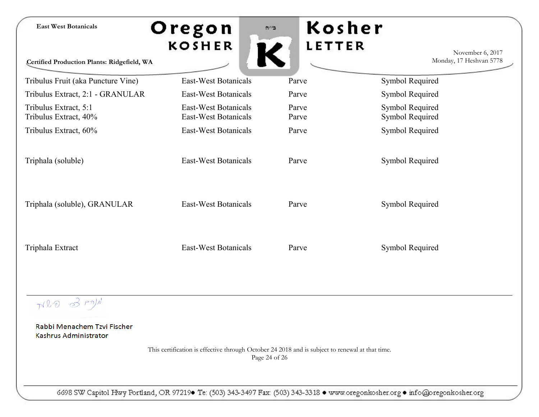|                                                      | <b>KOSHER</b>                                                                                                    | <b>LETTER</b>  | November 6, 2017                   |
|------------------------------------------------------|------------------------------------------------------------------------------------------------------------------|----------------|------------------------------------|
| Certified Production Plants: Ridgefield, WA          |                                                                                                                  |                | Monday, 17 Heshvan 5778            |
| Tribulus Fruit (aka Puncture Vine)                   | East-West Botanicals                                                                                             | Parve          | Symbol Required                    |
| Tribulus Extract, 2:1 - GRANULAR                     | East-West Botanicals                                                                                             | Parve          | Symbol Required                    |
| Tribulus Extract, 5:1<br>Tribulus Extract, 40%       | <b>East-West Botanicals</b><br>East-West Botanicals                                                              | Parve<br>Parve | Symbol Required<br>Symbol Required |
| Tribulus Extract, 60%                                | East-West Botanicals                                                                                             | Parve          | Symbol Required                    |
| Triphala (soluble)                                   | <b>East-West Botanicals</b>                                                                                      | Parve          | Symbol Required                    |
| Triphala (soluble), GRANULAR                         | East-West Botanicals                                                                                             | Parve          | Symbol Required                    |
| Triphala Extract                                     | <b>East-West Botanicals</b>                                                                                      | Parve          | Symbol Required                    |
| Rabbi Menachem Tzvi Fischer<br>Kashrus Administrator |                                                                                                                  |                |                                    |
|                                                      | This certification is effective through October 24 2018 and is subject to renewal at that time.<br>Page 24 of 26 |                |                                    |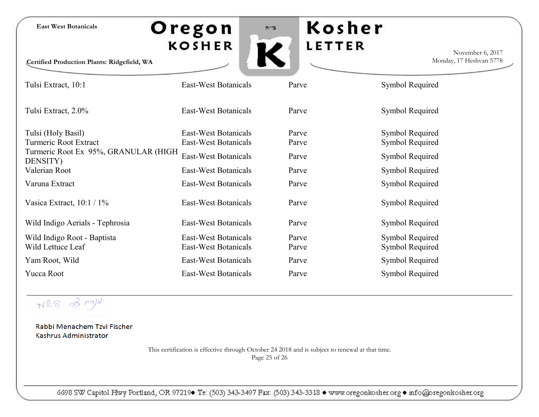| <b>East West Botanicals</b> |  |
|-----------------------------|--|
|-----------------------------|--|

**Certified Production Plants: Ridgefield, WA**





November 6, 2017 Monday, 17 Heshvan 5778

Tulsi Extract, 10:1 East-West Botanicals Parve Symbol Required Tulsi Extract, 2.0% East-West Botanicals Parve Symbol Required Tulsi (Holy Basil) East-West Botanicals Parve Symbol Required Turmeric Root Extract East-West Botanicals Parve Parve Symbol Required Turmeric Root Ex 95%, GRANULAR (HIGH Turneric Root Ex 5570, SRANOEAR (THST) East-West Botanicals Parve Parve Symbol Required Valerian Root **East-West Botanicals** Parve Parve Symbol Required Varuna Extract **East-West Botanicals** Parve Parve Symbol Required Vasica Extract, 10:1 / 1% East-West Botanicals Parve Parve Symbol Required Wild Indigo Aerials - Tephrosia East-West Botanicals Parve Parve Symbol Required Wild Indigo Root - Baptista **East-West Botanicals** Parve Parve Symbol Required Wild Lettuce Leaf East-West Botanicals Parve Symbol Required Yam Root, Wild East-West Botanicals Parve Symbol Required Yucca Root **East-West Botanicals** Parve Parve Symbol Required

 $\neg (l \negthinspace 0 \negthinspace 3 \negthinspace P \negthinspace 0)$ 

Rabbi Menachem Tzvi Fischer Kashrus Administrator

> This certification is effective through October 24 2018 and is subject to renewal at that time. Page 25 of 26